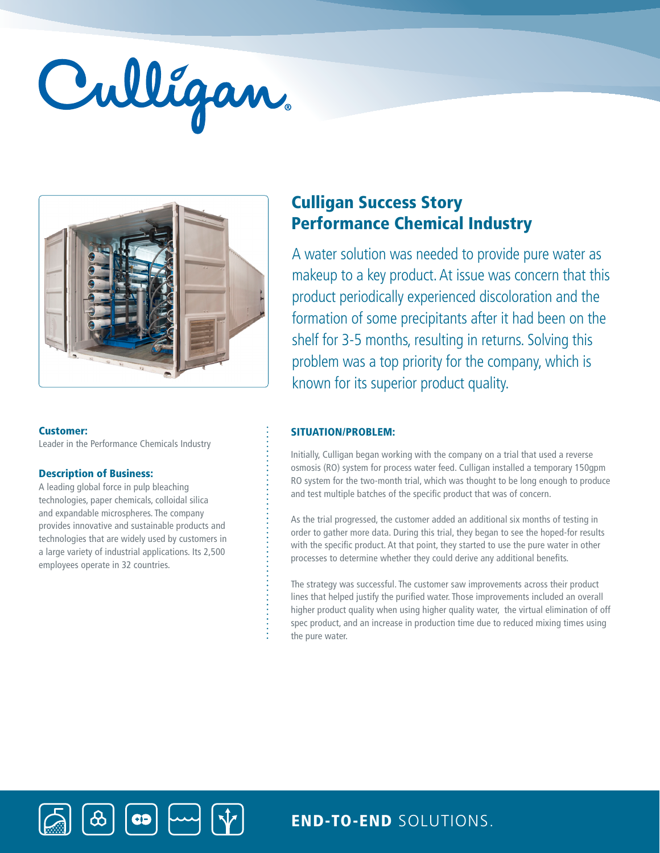# Culligan



#### Customer:

Leader in the Performance Chemicals Industry

## Description of Business:

A leading global force in pulp bleaching technologies, paper chemicals, colloidal silica and expandable microspheres. The company provides innovative and sustainable products and technologies that are widely used by customers in a large variety of industrial applications. Its 2,500 employees operate in 32 countries.

 $|$  CD  $|$ 

# Culligan Success Story Performance Chemical Industry

A water solution was needed to provide pure water as makeup to a key product. At issue was concern that this product periodically experienced discoloration and the formation of some precipitants after it had been on the shelf for 3-5 months, resulting in returns. Solving this problem was a top priority for the company, which is known for its superior product quality.

# SITUATION/PROBLEM:

Initially, Culligan began working with the company on a trial that used a reverse osmosis (RO) system for process water feed. Culligan installed a temporary 150gpm RO system for the two-month trial, which was thought to be long enough to produce and test multiple batches of the specific product that was of concern.

As the trial progressed, the customer added an additional six months of testing in order to gather more data. During this trial, they began to see the hoped-for results with the specific product. At that point, they started to use the pure water in other processes to determine whether they could derive any additional benefits.

The strategy was successful. The customer saw improvements across their product lines that helped justify the purified water. Those improvements included an overall higher product quality when using higher quality water, the virtual elimination of off spec product, and an increase in production time due to reduced mixing times using the pure water.

END-TO-END SOLUTIONS.